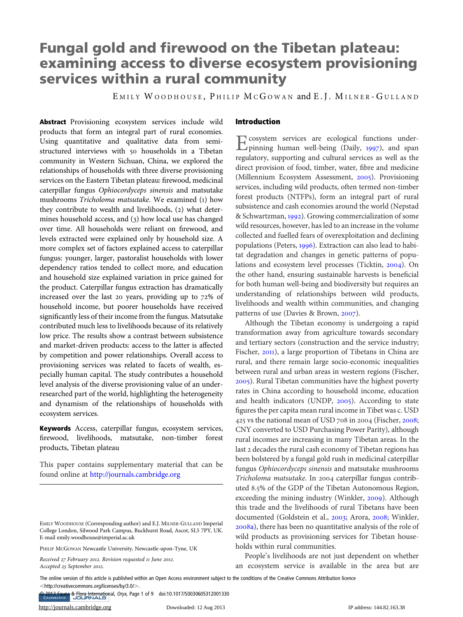# Fungal gold and firewood on the Tibetan plateau: examining access to diverse ecosystem provisioning services within a rural community

EMILY WOODHOUSE, PHILIP MCGOWAN and E.J. MILNER-GULLAND

Abstract Provisioning ecosystem services include wild products that form an integral part of rural economies. Using quantitative and qualitative data from semistructured interviews with 50 households in a Tibetan community in Western Sichuan, China, we explored the relationships of households with three diverse provisioning services on the Eastern Tibetan plateau: firewood, medicinal caterpillar fungus Ophiocordyceps sinensis and matsutake mushrooms Tricholoma matsutake. We examined (1) how they contribute to wealth and livelihoods, (2) what determines household access, and (3) how local use has changed over time. All households were reliant on firewood, and levels extracted were explained only by household size. A more complex set of factors explained access to caterpillar fungus: younger, larger, pastoralist households with lower dependency ratios tended to collect more, and education and household size explained variation in price gained for the product. Caterpillar fungus extraction has dramatically increased over the last 20 years, providing up to 72% of household income, but poorer households have received significantly less of their income from the fungus. Matsutake contributed much less to livelihoods because of its relatively low price. The results show a contrast between subsistence and market-driven products: access to the latter is affected by competition and power relationships. Overall access to provisioning services was related to facets of wealth, especially human capital. The study contributes a household level analysis of the diverse provisioning value of an underresearched part of the world, highlighting the heterogeneity and dynamism of the relationships of households with ecosystem services.

Keywords Access, caterpillar fungus, ecosystem services, firewood, livelihoods, matsutake, non-timber forest products, Tibetan plateau

This paper contains supplementary material that can be found online at <http://journals.cambridge.org>

PHILIP MCGOWAN Newcastle University, Newcastle-upon-Tyne, UK

Received 27 February 2012. Revision requested 11 June 2012. Accepted 25 September 2012.

# Introduction

E cosystem services are ecological functions under-<br>pinning human well-being (Daily, 1997), and span regulatory, supporting and cultural services as well as the direct provision of food, timber, water, fibre and medicine (Millennium Ecosystem Assessment, [2005](#page-7-0)). Provisioning services, including wild products, often termed non-timber forest products (NTFPs), form an integral part of rural subsistence and cash economies around the world (Nepstad & Schwartzman, [1992](#page-7-0)). Growing commercialization of some wild resources, however, has led to an increase in the volume collected and fuelled fears of overexploitation and declining populations (Peters, [1996](#page-7-0)). Extraction can also lead to habitat degradation and changes in genetic patterns of populations and ecosystem level processes (Ticktin, [2004](#page-8-0)). On the other hand, ensuring sustainable harvests is beneficial for both human well-being and biodiversity but requires an understanding of relationships between wild products, livelihoods and wealth within communities, and changing patterns of use (Davies & Brown, [2007](#page-7-0)).

Although the Tibetan economy is undergoing a rapid transformation away from agriculture towards secondary and tertiary sectors (construction and the service industry; Fischer, [2011](#page-7-0)), a large proportion of Tibetans in China are rural, and there remain large socio-economic inequalities between rural and urban areas in western regions (Fischer, [2005](#page-7-0)). Rural Tibetan communities have the highest poverty rates in China according to household income, education and health indicators (UNDP, [2005](#page-8-0)). According to state figures the per capita mean rural income in Tibet was c. USD 425 vs the national mean of USD 708 in 2004 (Fischer, [2008](#page-7-0); CNY converted to USD Purchasing Power Parity), although rural incomes are increasing in many Tibetan areas. In the last 2 decades the rural cash economy of Tibetan regions has been bolstered by a fungal gold rush in medicinal caterpillar fungus Ophiocordyceps sinensis and matsutake mushrooms Tricholoma matsutake. In 2004 caterpillar fungus contributed 8.5% of the GDP of the Tibetan Autonomous Region, exceeding the mining industry (Winkler, [2009](#page-8-0)). Although this trade and the livelihoods of rural Tibetans have been documented (Goldstein et al., [2003](#page-7-0); Arora, [2008](#page-7-0); Winkler, [2008](#page-8-0)a), there has been no quantitative analysis of the role of wild products as provisioning services for Tibetan households within rural communities.

People's livelihoods are not just dependent on whether an ecosystem service is available in the area but are

The online version of this article is published within an Open Access environment subject to the conditions of the Creative Commons Attribution licence  $\le$ http://creativecommons.org/licenses/by/3.0/ $>$ .

© 2013 Fauna & Flora International, Oryx, Page 1 of 9 doi:10.1017/S0030605312001330

EMILY WOODHOUSE (Corresponding author) and E.J. MILNER-GULLAND Imperial College London, Silwood Park Campus, Buckhurst Road, Ascot, SL5 7PY, UK. E-mail emily.woodhouse@imperial.ac.uk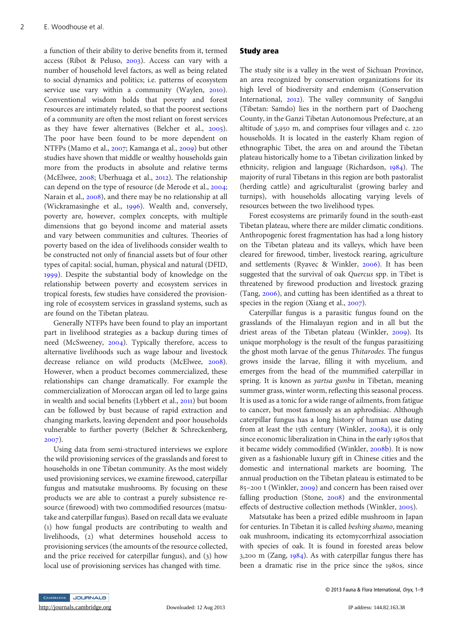a function of their ability to derive benefits from it, termed access (Ribot & Peluso, [2003](#page-8-0)). Access can vary with a number of household level factors, as well as being related to social dynamics and politics; i.e. patterns of ecosystem service use vary within a community (Waylen, [2010](#page-8-0)). Conventional wisdom holds that poverty and forest resources are intimately related, so that the poorest sections of a community are often the most reliant on forest services as they have fewer alternatives (Belcher et al., [2005](#page-7-0)). The poor have been found to be more dependent on NTFPs (Mamo et al., [2007](#page-7-0); Kamanga et al., [2009](#page-7-0)) but other studies have shown that middle or wealthy households gain more from the products in absolute and relative terms (McElwee, [2008](#page-7-0); Uberhuaga et al., [2012](#page-8-0)). The relationship can depend on the type of resource (de Merode et al., [2004](#page-7-0); Narain et al., [2008](#page-7-0)), and there may be no relationship at all (Wickramasinghe et al., [1996](#page-8-0)). Wealth and, conversely, poverty are, however, complex concepts, with multiple dimensions that go beyond income and material assets and vary between communities and cultures. Theories of poverty based on the idea of livelihoods consider wealth to be constructed not only of financial assets but of four other types of capital: social, human, physical and natural (DFID, [1999](#page-7-0)). Despite the substantial body of knowledge on the relationship between poverty and ecosystem services in tropical forests, few studies have considered the provisioning role of ecosystem services in grassland systems, such as are found on the Tibetan plateau.

Generally NTFPs have been found to play an important part in livelihood strategies as a backup during times of need (McSweeney, [2004](#page-7-0)). Typically therefore, access to alternative livelihoods such as wage labour and livestock decrease reliance on wild products (McElwee, [2008](#page-7-0)). However, when a product becomes commercialized, these relationships can change dramatically. For example the commercialization of Moroccan argan oil led to large gains in wealth and social benefits (Lybbert et al., [2011](#page-7-0)) but boom can be followed by bust because of rapid extraction and changing markets, leaving dependent and poor households vulnerable to further poverty (Belcher & Schreckenberg, [2007](#page-7-0)).

Using data from semi-structured interviews we explore the wild provisioning services of the grasslands and forest to households in one Tibetan community. As the most widely used provisioning services, we examine firewood, caterpillar fungus and matsutake mushrooms. By focusing on these products we are able to contrast a purely subsistence resource (firewood) with two commodified resources (matsutake and caterpillar fungus). Based on recall data we evaluate (1) how fungal products are contributing to wealth and livelihoods, (2) what determines household access to provisioning services (the amounts of the resource collected, and the price received for caterpillar fungus), and (3) how local use of provisioning services has changed with time.

### Study area

The study site is a valley in the west of Sichuan Province, an area recognized by conservation organizations for its high level of biodiversity and endemism (Conservation International, [2012](#page-7-0)). The valley community of Sangdui (Tibetan: Samdo) lies in the northern part of Daocheng County, in the Ganzi Tibetan Autonomous Prefecture, at an altitude of 3,950 m, and comprises four villages and c. 220 households. It is located in the easterly Kham region of ethnographic Tibet, the area on and around the Tibetan plateau historically home to a Tibetan civilization linked by ethnicity, religion and language (Richardson, [1984](#page-8-0)). The majority of rural Tibetans in this region are both pastoralist (herding cattle) and agriculturalist (growing barley and turnips), with households allocating varying levels of resources between the two livelihood types.

Forest ecosystems are primarily found in the south-east Tibetan plateau, where there are milder climatic conditions. Anthropogenic forest fragmentation has had a long history on the Tibetan plateau and its valleys, which have been cleared for firewood, timber, livestock rearing, agriculture and settlements (Ryavec & Winkler, [2006](#page-8-0)). It has been suggested that the survival of oak Quercus spp. in Tibet is threatened by firewood production and livestock grazing (Tang, [2006](#page-8-0)), and cutting has been identified as a threat to species in the region (Xiang et al., [2007](#page-8-0)).

Caterpillar fungus is a parasitic fungus found on the grasslands of the Himalayan region and in all but the driest areas of the Tibetan plateau (Winkler, [2009](#page-8-0)). Its unique morphology is the result of the fungus parasitizing the ghost moth larvae of the genus Thitarodes. The fungus grows inside the larvae, filling it with mycelium, and emerges from the head of the mummified caterpillar in spring. It is known as yartsa gunbu in Tibetan, meaning summer grass, winter worm, reflecting this seasonal process. It is used as a tonic for a wide range of ailments, from fatigue to cancer, but most famously as an aphrodisiac. Although caterpillar fungus has a long history of human use dating from at least the 15th century (Winkler, [2008](#page-8-0)a), it is only since economic liberalization in China in the early 1980s that it became widely commodified (Winkler, [2008](#page-8-0)b). It is now given as a fashionable luxury gift in Chinese cities and the domestic and international markets are booming. The annual production on the Tibetan plateau is estimated to be 85–200 t (Winkler, [2009](#page-8-0)) and concern has been raised over falling production (Stone, [2008](#page-8-0)) and the environmental effects of destructive collection methods (Winkler, [2005](#page-8-0)).

Matsutake has been a prized edible mushroom in Japan for centuries. In Tibetan it is called beshing shamo, meaning oak mushroom, indicating its ectomycorrhizal association with species of oak. It is found in forested areas below 3,200 m (Zang, [1984](#page-8-0)). As with caterpillar fungus there has been a dramatic rise in the price since the 1980s, since

CAMBRIDGE JOURNALS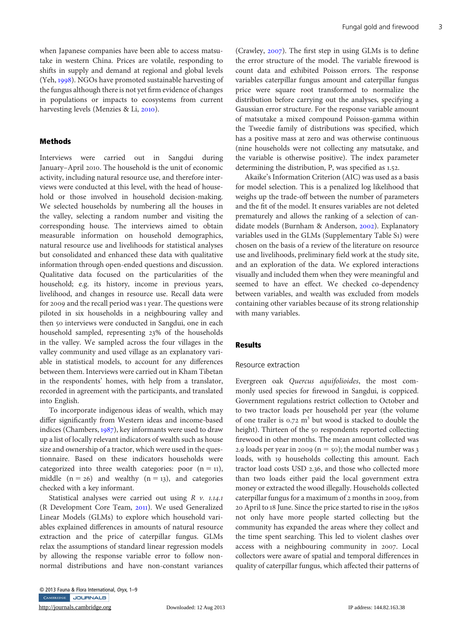when Japanese companies have been able to access matsutake in western China. Prices are volatile, responding to shifts in supply and demand at regional and global levels (Yeh, [1998](#page-8-0)). NGOs have promoted sustainable harvesting of the fungus although there is not yet firm evidence of changes in populations or impacts to ecosystems from current harvesting levels (Menzies & Li, [2010](#page-7-0)).

## **Methods**

Interviews were carried out in Sangdui during January–April 2010. The household is the unit of economic activity, including natural resource use, and therefore interviews were conducted at this level, with the head of household or those involved in household decision-making. We selected households by numbering all the houses in the valley, selecting a random number and visiting the corresponding house. The interviews aimed to obtain measurable information on household demographics, natural resource use and livelihoods for statistical analyses but consolidated and enhanced these data with qualitative information through open-ended questions and discussion. Qualitative data focused on the particularities of the household; e.g. its history, income in previous years, livelihood, and changes in resource use. Recall data were for 2009 and the recall period was 1 year. The questions were piloted in six households in a neighbouring valley and then 50 interviews were conducted in Sangdui, one in each household sampled, representing 23% of the households in the valley. We sampled across the four villages in the valley community and used village as an explanatory variable in statistical models, to account for any differences between them. Interviews were carried out in Kham Tibetan in the respondents' homes, with help from a translator, recorded in agreement with the participants, and translated into English.

To incorporate indigenous ideas of wealth, which may differ significantly from Western ideas and income-based indices (Chambers, [1987](#page-7-0)), key informants were used to draw up a list of locally relevant indicators of wealth such as house size and ownership of a tractor, which were used in the questionnaire. Based on these indicators households were categorized into three wealth categories: poor  $(n = 11)$ , middle  $(n = 26)$  and wealthy  $(n = 13)$ , and categories checked with a key informant.

Statistical analyses were carried out using  $R$  v. 1.14.1 (R Development Core Team, [2011](#page-8-0)). We used Generalized Linear Models (GLMs) to explore which household variables explained differences in amounts of natural resource extraction and the price of caterpillar fungus. GLMs relax the assumptions of standard linear regression models by allowing the response variable error to follow nonnormal distributions and have non-constant variances

(Crawley, [2007](#page-7-0)). The first step in using GLMs is to define the error structure of the model. The variable firewood is count data and exhibited Poisson errors. The response variables caterpillar fungus amount and caterpillar fungus price were square root transformed to normalize the distribution before carrying out the analyses, specifying a Gaussian error structure. For the response variable amount of matsutake a mixed compound Poisson-gamma within the Tweedie family of distributions was specified, which has a positive mass at zero and was otherwise continuous (nine households were not collecting any matsutake, and the variable is otherwise positive). The index parameter determining the distribution, P, was specified as 1.52.

Akaike's Information Criterion (AIC) was used as a basis for model selection. This is a penalized log likelihood that weighs up the trade-off between the number of parameters and the fit of the model. It ensures variables are not deleted prematurely and allows the ranking of a selection of can-didate models (Burnham & Anderson, [2002](#page-7-0)). Explanatory variables used in the GLMs (Supplementary Table S1) were chosen on the basis of a review of the literature on resource use and livelihoods, preliminary field work at the study site, and an exploration of the data. We explored interactions visually and included them when they were meaningful and seemed to have an effect. We checked co-dependency between variables, and wealth was excluded from models containing other variables because of its strong relationship with many variables.

## **Results**

#### Resource extraction

Evergreen oak Quercus aquifolioides, the most commonly used species for firewood in Sangdui, is coppiced. Government regulations restrict collection to October and to two tractor loads per household per year (the volume of one trailer is  $0.72 \text{ m}^3$  but wood is stacked to double the height). Thirteen of the 50 respondents reported collecting firewood in other months. The mean amount collected was 2.9 loads per year in 2009 ( $n = 50$ ); the modal number was 3 loads, with 19 households collecting this amount. Each tractor load costs USD 2.36, and those who collected more than two loads either paid the local government extra money or extracted the wood illegally. Households collected caterpillar fungus for a maximum of 2 months in 2009, from 20 April to 18 June. Since the price started to rise in the 1980s not only have more people started collecting but the community has expanded the areas where they collect and the time spent searching. This led to violent clashes over access with a neighbouring community in 2007. Local collectors were aware of spatial and temporal differences in quality of caterpillar fungus, which affected their patterns of

<http://journals.cambridge.org> Downloaded: 12 Aug 2013 IP address: 144.82.163.38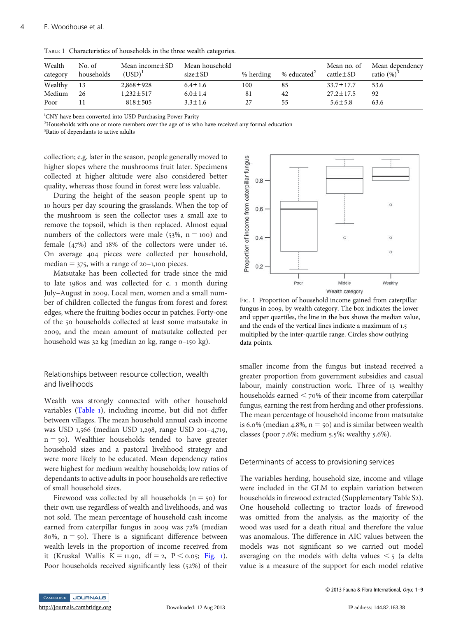| Wealth<br>category | No. of<br>households | Mean income $\pm$ SD<br>$(USD)^1$ | Mean household<br>$size \pm SD$ | % herding | % educated <sup>2</sup> | Mean no. of<br>$cattle \pm SD$ | Mean dependency<br>ratio $(\%)^3$ |
|--------------------|----------------------|-----------------------------------|---------------------------------|-----------|-------------------------|--------------------------------|-----------------------------------|
| Wealthy            | 13                   | $2.868 \pm 928$                   | $6.4 \pm 1.6$                   | 100       | 85                      | $33.7 \pm 17.7$                | 53.6                              |
| Medium             | 26                   | $1,232 \pm 517$                   | $6.0 \pm 1.4$                   | 81        | 42                      | $27.2 \pm 17.5$                | 92                                |
| Poor               |                      | $818 \pm 505$                     | $3.3 \pm 1.6$                   | 27        | 55                      | $5.6 \pm 5.8$                  | 63.6                              |

TABLE 1 Characteristics of households in the three wealth categories.

<sup>1</sup>CNY have been converted into USD Purchasing Power Parity

<sup>2</sup>Households with one or more members over the age of 16 who have received any formal education<sup>3</sup>

<sup>3</sup>Ratio of dependants to active adults

collection; e.g. later in the season, people generally moved to higher slopes where the mushrooms fruit later. Specimens collected at higher altitude were also considered better quality, whereas those found in forest were less valuable.

During the height of the season people spent up to 10 hours per day scouring the grasslands. When the top of the mushroom is seen the collector uses a small axe to remove the topsoil, which is then replaced. Almost equal numbers of the collectors were male (53%,  $n = 100$ ) and female (47%) and 18% of the collectors were under 16. On average 404 pieces were collected per household, median  $= 375$ , with a range of 20–1,100 pieces.

Matsutake has been collected for trade since the mid to late 1980s and was collected for c. 1 month during July–August in 2009. Local men, women and a small number of children collected the fungus from forest and forest edges, where the fruiting bodies occur in patches. Forty-one of the 50 households collected at least some matsutake in 2009, and the mean amount of matsutake collected per household was 32 kg (median 20 kg, range 0–150 kg).

# Relationships between resource collection, wealth and livelihoods

Wealth was strongly connected with other household variables (Table 1), including income, but did not differ between villages. The mean household annual cash income was USD 1,566 (median USD 1,298, range USD 201–4,719,  $n = 50$ ). Wealthier households tended to have greater household sizes and a pastoral livelihood strategy and were more likely to be educated. Mean dependency ratios were highest for medium wealthy households; low ratios of dependants to active adults in poor households are reflective of small household sizes.

Firewood was collected by all households  $(n = 50)$  for their own use regardless of wealth and livelihoods, and was not sold. The mean percentage of household cash income earned from caterpillar fungus in 2009 was 72% (median 80%,  $n = 50$ ). There is a significant difference between wealth levels in the proportion of income received from it (Kruskal Wallis K = 11.90, df = 2, P < 0.05; Fig. 1). Poor households received significantly less (52%) of their



FIG. 1 Proportion of household income gained from caterpillar fungus in 2009, by wealth category. The box indicates the lower and upper quartiles, the line in the box shows the median value, and the ends of the vertical lines indicate a maximum of 1.5 multiplied by the inter-quartile range. Circles show outlying data points.

smaller income from the fungus but instead received a greater proportion from government subsidies and casual labour, mainly construction work. Three of 13 wealthy households earned  $<$  70% of their income from caterpillar fungus, earning the rest from herding and other professions. The mean percentage of household income from matsutake is 6.0% (median 4.8%,  $n = 50$ ) and is similar between wealth classes (poor 7.6%; medium 5.5%; wealthy 5.6%).

#### Determinants of access to provisioning services

The variables herding, household size, income and village were included in the GLM to explain variation between households in firewood extracted (Supplementary Table S2). One household collecting 10 tractor loads of firewood was omitted from the analysis, as the majority of the wood was used for a death ritual and therefore the value was anomalous. The difference in AIC values between the models was not significant so we carried out model averaging on the models with delta values  $\lt$  5 (a delta value is a measure of the support for each model relative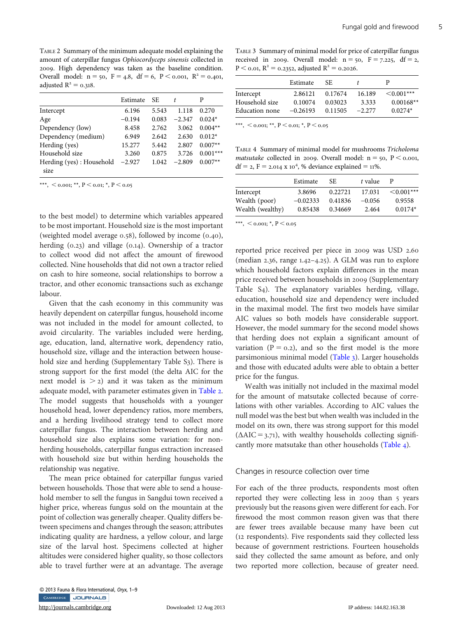TABLE 2 Summary of the minimum adequate model explaining the amount of caterpillar fungus Ophiocordyceps sinensis collected in 2009. High dependency was taken as the baseline condition. Overall model:  $n = 50$ ,  $F = 4.8$ ,  $df = 6$ ,  $P < 0.001$ ,  $R^2 = 0.401$ , adjusted  $R^2$  = 0.318.

|                                   | Estimate | SE.   |          | P          |
|-----------------------------------|----------|-------|----------|------------|
| Intercept                         | 6.196    | 5.543 | 1.118    | 0.270      |
| Age                               | $-0.194$ | 0.083 | $-2.347$ | $0.024*$   |
| Dependency (low)                  | 8.458    | 2.762 | 3.062    | $0.004**$  |
| Dependency (medium)               | 6.949    | 2.642 | 2.630    | $0.012*$   |
| Herding (yes)                     | 15.277   | 5.442 | 2.807    | $0.007**$  |
| Household size                    | 3.260    | 0.875 | 3.726    | $0.001***$ |
| Herding (yes) : Household<br>size | $-2.927$ | 1.042 | $-2.809$ | $0.007**$  |

\*\*\*,  $<$  0.001; \*\*, P  $<$  0.01; \*, P  $<$  0.05

to the best model) to determine which variables appeared to be most important. Household size is the most important (weighted model average 0.58), followed by income (0.40), herding (0.23) and village (0.14). Ownership of a tractor to collect wood did not affect the amount of firewood collected. Nine households that did not own a tractor relied on cash to hire someone, social relationships to borrow a tractor, and other economic transactions such as exchange labour.

Given that the cash economy in this community was heavily dependent on caterpillar fungus, household income was not included in the model for amount collected, to avoid circularity. The variables included were herding, age, education, land, alternative work, dependency ratio, household size, village and the interaction between household size and herding (Supplementary Table S3). There is strong support for the first model (the delta AIC for the next model is  $>$  2) and it was taken as the minimum adequate model, with parameter estimates given in Table 2. The model suggests that households with a younger household head, lower dependency ratios, more members, and a herding livelihood strategy tend to collect more caterpillar fungus. The interaction between herding and household size also explains some variation: for nonherding households, caterpillar fungus extraction increased with household size but within herding households the relationship was negative.

The mean price obtained for caterpillar fungus varied between households. Those that were able to send a household member to sell the fungus in Sangdui town received a higher price, whereas fungus sold on the mountain at the point of collection was generally cheaper. Quality differs between specimens and changes through the season; attributes indicating quality are hardness, a yellow colour, and large size of the larval host. Specimens collected at higher altitudes were considered higher quality, so those collectors able to travel further were at an advantage. The average

TABLE 3 Summary of minimal model for price of caterpillar fungus received in 2009. Overall model:  $n = 50$ ,  $F = 7.225$ ,  $df = 2$ ,  $P \le 0.01$ ,  $R^2 = 0.2352$ , adjusted  $R^2 = 0.2026$ .

|                | Estimate   | SE.     |          | P                |
|----------------|------------|---------|----------|------------------|
| Intercept      | 2.86121    | 0.17674 | 16.189   | $\leq 0.001$ *** |
| Household size | 0.10074    | 0.03023 | 3.333    | $0.00168**$      |
| Education none | $-0.26193$ | 0.11505 | $-2.277$ | $0.0274*$        |

\*\*\*,  $\leq 0.001$ ; \*\*, P  $\leq 0.01$ ; \*, P  $\leq 0.05$ 

TABLE 4 Summary of minimal model for mushrooms Tricholoma matsutake collected in 2009. Overall model:  $n = 50$ ,  $P < 0.001$ , df = 2, F = 2.014 x 10<sup>4</sup>, % deviance explained = 11%.

|                  | Estimate   | SE.     | t value  | P                |
|------------------|------------|---------|----------|------------------|
| Intercept        | 3.8696     | 0.22721 | 17.031   | $\leq 0.001$ *** |
| Wealth (poor)    | $-0.02333$ | 0.41836 | $-0.056$ | 0.9558           |
| Wealth (wealthy) | 0.85438    | 0.34669 | 2.464    | $0.0174*$        |

\*\*\*,  $<$  0.001;  $*$ ,  $P <$  0.05

reported price received per piece in 2009 was USD 2.60 (median 2.36, range 1.42–4.25). A GLM was run to explore which household factors explain differences in the mean price received between households in 2009 (Supplementary Table S4). The explanatory variables herding, village, education, household size and dependency were included in the maximal model. The first two models have similar AIC values so both models have considerable support. However, the model summary for the second model shows that herding does not explain a significant amount of variation ( $P = 0.2$ ), and so the first model is the more parsimonious minimal model (Table 3). Larger households and those with educated adults were able to obtain a better price for the fungus.

Wealth was initially not included in the maximal model for the amount of matsutake collected because of correlations with other variables. According to AIC values the null model was the best but when wealth was included in the model on its own, there was strong support for this model  $(\Delta AIC = 3.71)$ , with wealthy households collecting significantly more matsutake than other households (Table 4).

#### Changes in resource collection over time

For each of the three products, respondents most often reported they were collecting less in 2009 than 5 years previously but the reasons given were different for each. For firewood the most common reason given was that there are fewer trees available because many have been cut (12 respondents). Five respondents said they collected less because of government restrictions. Fourteen households said they collected the same amount as before, and only two reported more collection, because of greater need.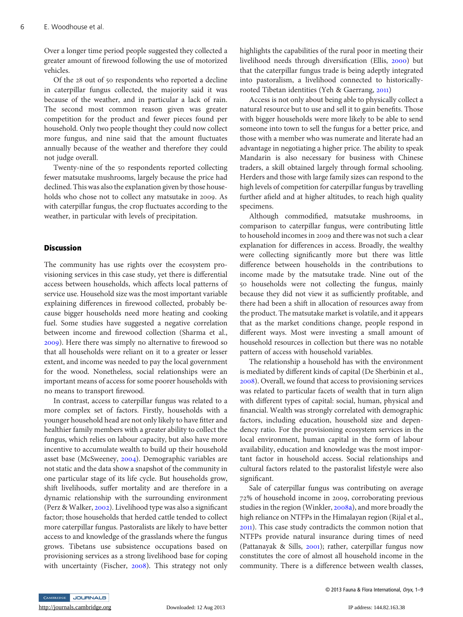Over a longer time period people suggested they collected a greater amount of firewood following the use of motorized vehicles.

Of the 28 out of 50 respondents who reported a decline in caterpillar fungus collected, the majority said it was because of the weather, and in particular a lack of rain. The second most common reason given was greater competition for the product and fewer pieces found per household. Only two people thought they could now collect more fungus, and nine said that the amount fluctuates annually because of the weather and therefore they could not judge overall.

Twenty-nine of the 50 respondents reported collecting fewer matsutake mushrooms, largely because the price had declined. This was also the explanation given by those households who chose not to collect any matsutake in 2009. As with caterpillar fungus, the crop fluctuates according to the weather, in particular with levels of precipitation.

# **Discussion**

The community has use rights over the ecosystem provisioning services in this case study, yet there is differential access between households, which affects local patterns of service use. Household size was the most important variable explaining differences in firewood collected, probably because bigger households need more heating and cooking fuel. Some studies have suggested a negative correlation between income and firewood collection (Sharma et al., [2009](#page-8-0)). Here there was simply no alternative to firewood so that all households were reliant on it to a greater or lesser extent, and income was needed to pay the local government for the wood. Nonetheless, social relationships were an important means of access for some poorer households with no means to transport firewood.

In contrast, access to caterpillar fungus was related to a more complex set of factors. Firstly, households with a younger household head are not only likely to have fitter and healthier family members with a greater ability to collect the fungus, which relies on labour capacity, but also have more incentive to accumulate wealth to build up their household asset base (McSweeney, [2004](#page-7-0)). Demographic variables are not static and the data show a snapshot of the community in one particular stage of its life cycle. But households grow, shift livelihoods, suffer mortality and are therefore in a dynamic relationship with the surrounding environment (Perz & Walker, [2002](#page-7-0)). Livelihood type was also a significant factor; those households that herded cattle tended to collect more caterpillar fungus. Pastoralists are likely to have better access to and knowledge of the grasslands where the fungus grows. Tibetans use subsistence occupations based on provisioning services as a strong livelihood base for coping with uncertainty (Fischer, [2008](#page-7-0)). This strategy not only

highlights the capabilities of the rural poor in meeting their livelihood needs through diversification (Ellis, [2000](#page-7-0)) but that the caterpillar fungus trade is being adeptly integrated into pastoralism, a livelihood connected to historicallyrooted Tibetan identities (Yeh & Gaerrang, [2011](#page-8-0))

Access is not only about being able to physically collect a natural resource but to use and sell it to gain benefits. Those with bigger households were more likely to be able to send someone into town to sell the fungus for a better price, and those with a member who was numerate and literate had an advantage in negotiating a higher price. The ability to speak Mandarin is also necessary for business with Chinese traders, a skill obtained largely through formal schooling. Herders and those with large family sizes can respond to the high levels of competition for caterpillar fungus by travelling further afield and at higher altitudes, to reach high quality specimens.

Although commodified, matsutake mushrooms, in comparison to caterpillar fungus, were contributing little to household incomes in 2009 and there was not such a clear explanation for differences in access. Broadly, the wealthy were collecting significantly more but there was little difference between households in the contributions to income made by the matsutake trade. Nine out of the 50 households were not collecting the fungus, mainly because they did not view it as sufficiently profitable, and there had been a shift in allocation of resources away from the product. The matsutake market is volatile, and it appears that as the market conditions change, people respond in different ways. Most were investing a small amount of household resources in collection but there was no notable pattern of access with household variables.

The relationship a household has with the environment is mediated by different kinds of capital (De Sherbinin et al., [2008](#page-7-0)). Overall, we found that access to provisioning services was related to particular facets of wealth that in turn align with different types of capital: social, human, physical and financial. Wealth was strongly correlated with demographic factors, including education, household size and dependency ratio. For the provisioning ecosystem services in the local environment, human capital in the form of labour availability, education and knowledge was the most important factor in household access. Social relationships and cultural factors related to the pastoralist lifestyle were also significant.

Sale of caterpillar fungus was contributing on average 72% of household income in 2009, corroborating previous studies in the region (Winkler, [2008](#page-8-0)a), and more broadly the high reliance on NTFPs in the Himalayan region (Rijal et al., [2011](#page-8-0)). This case study contradicts the common notion that NTFPs provide natural insurance during times of need (Pattanayak & Sills, [2001](#page-7-0)); rather, caterpillar fungus now constitutes the core of almost all household income in the community. There is a difference between wealth classes,

CAMBRIDGE JOURNALS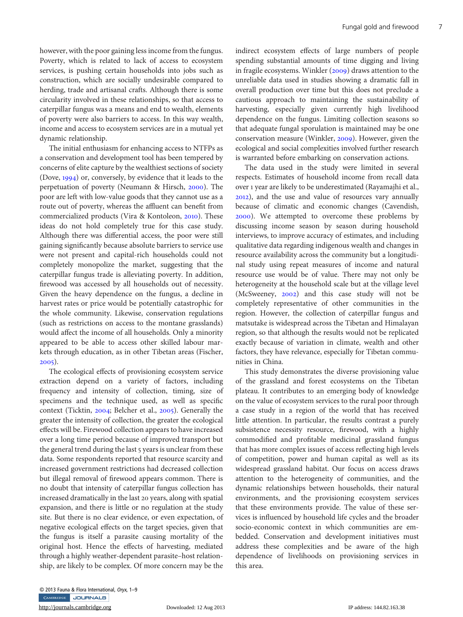however, with the poor gaining less income from the fungus. Poverty, which is related to lack of access to ecosystem services, is pushing certain households into jobs such as construction, which are socially undesirable compared to herding, trade and artisanal crafts. Although there is some circularity involved in these relationships, so that access to caterpillar fungus was a means and end to wealth, elements of poverty were also barriers to access. In this way wealth, income and access to ecosystem services are in a mutual yet dynamic relationship.

The initial enthusiasm for enhancing access to NTFPs as a conservation and development tool has been tempered by concerns of elite capture by the wealthiest sections of society (Dove, [1994](#page-7-0)) or, conversely, by evidence that it leads to the perpetuation of poverty (Neumann & Hirsch, [2000](#page-7-0)). The poor are left with low-value goods that they cannot use as a route out of poverty, whereas the affluent can benefit from commercialized products (Vira & Kontoleon, [2010](#page-8-0)). These ideas do not hold completely true for this case study. Although there was differential access, the poor were still gaining significantly because absolute barriers to service use were not present and capital-rich households could not completely monopolize the market, suggesting that the caterpillar fungus trade is alleviating poverty. In addition, firewood was accessed by all households out of necessity. Given the heavy dependence on the fungus, a decline in harvest rates or price would be potentially catastrophic for the whole community. Likewise, conservation regulations (such as restrictions on access to the montane grasslands) would affect the income of all households. Only a minority appeared to be able to access other skilled labour markets through education, as in other Tibetan areas (Fischer, [2005](#page-7-0)).

The ecological effects of provisioning ecosystem service extraction depend on a variety of factors, including frequency and intensity of collection, timing, size of specimens and the technique used, as well as specific context (Ticktin, [2004](#page-8-0); Belcher et al., [2005](#page-7-0)). Generally the greater the intensity of collection, the greater the ecological effects will be. Firewood collection appears to have increased over a long time period because of improved transport but the general trend during the last 5 years is unclear from these data. Some respondents reported that resource scarcity and increased government restrictions had decreased collection but illegal removal of firewood appears common. There is no doubt that intensity of caterpillar fungus collection has increased dramatically in the last 20 years, along with spatial expansion, and there is little or no regulation at the study site. But there is no clear evidence, or even expectation, of negative ecological effects on the target species, given that the fungus is itself a parasite causing mortality of the original host. Hence the effects of harvesting, mediated through a highly weather-dependent parasite–host relationship, are likely to be complex. Of more concern may be the

indirect ecosystem effects of large numbers of people spending substantial amounts of time digging and living in fragile ecosystems. Winkler ([2009](#page-8-0)) draws attention to the unreliable data used in studies showing a dramatic fall in overall production over time but this does not preclude a cautious approach to maintaining the sustainability of harvesting, especially given currently high livelihood dependence on the fungus. Limiting collection seasons so that adequate fungal sporulation is maintained may be one conservation measure (Winkler, [2009](#page-8-0)). However, given the ecological and social complexities involved further research is warranted before embarking on conservation actions.

The data used in the study were limited in several respects. Estimates of household income from recall data over 1 year are likely to be underestimated (Rayamajhi et al., [2012](#page-8-0)), and the use and value of resources vary annually because of climatic and economic changes (Cavendish, [2000](#page-7-0)). We attempted to overcome these problems by discussing income season by season during household interviews, to improve accuracy of estimates, and including qualitative data regarding indigenous wealth and changes in resource availability across the community but a longitudinal study using repeat measures of income and natural resource use would be of value. There may not only be heterogeneity at the household scale but at the village level (McSweeney, [2002](#page-7-0)) and this case study will not be completely representative of other communities in the region. However, the collection of caterpillar fungus and matsutake is widespread across the Tibetan and Himalayan region, so that although the results would not be replicated exactly because of variation in climate, wealth and other factors, they have relevance, especially for Tibetan communities in China.

This study demonstrates the diverse provisioning value of the grassland and forest ecosystems on the Tibetan plateau. It contributes to an emerging body of knowledge on the value of ecosystem services to the rural poor through a case study in a region of the world that has received little attention. In particular, the results contrast a purely subsistence necessity resource, firewood, with a highly commodified and profitable medicinal grassland fungus that has more complex issues of access reflecting high levels of competition, power and human capital as well as its widespread grassland habitat. Our focus on access draws attention to the heterogeneity of communities, and the dynamic relationships between households, their natural environments, and the provisioning ecosystem services that these environments provide. The value of these services is influenced by household life cycles and the broader socio-economic context in which communities are embedded. Conservation and development initiatives must address these complexities and be aware of the high dependence of livelihoods on provisioning services in this area.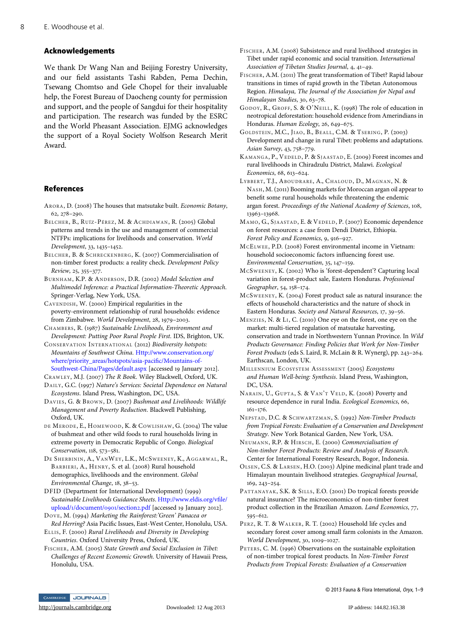# <span id="page-7-0"></span>Acknowledgements

We thank Dr Wang Nan and Beijing Forestry University, and our field assistants Tashi Rabden, Pema Dechin, Tsewang Chomtso and Gele Chopel for their invaluable help, the Forest Bureau of Daocheng county for permission and support, and the people of Sangdui for their hospitality and participation. The research was funded by the ESRC and the World Pheasant Association. EJMG acknowledges the support of a Royal Society Wolfson Research Merit Award.

# References

- ARORA, D. (2008) The houses that matsutake built. Economic Botany, 62, 278–290.
- BELCHER, B., RUÍZ-PÉREZ, M. & ACHDIAWAN, R. (2005) Global patterns and trends in the use and management of commercial NTFPs: implications for livelihoods and conservation. World Development, 33, 1435–1452.
- BELCHER, B. & SCHRECKENBERG, K. (2007) Commercialisation of non-timber forest products: a reality check. Development Policy Review, 25, 355–377.
- BURNHAM, K.P. & ANDERSON, D.R. (2002) Model Selection and Multimodel Inference: a Practical Information-Theoretic Approach. Springer-Verlag, New York, USA.
- CAVENDISH, W. (2000) Empirical regularities in the poverty-environment relationship of rural households: evidence from Zimbabwe. World Development, 28, 1979–2003.
- CHAMBERS, R. (1987) Sustainable Livelihoods, Environment and Development: Putting Poor Rural People First. IDS, Brighton, UK.
- CONSERVATION INTERNATIONAL (2012) Biodiversity hotspots: Mountains of Southwest China. [Http://www.conservation.org/](http://www.conservation.org/where/priority_areas/hotspots/asia-pacific/Mountains-of-Southwest-China/Pages/default.aspx) [where/priority\\_areas/hotspots/asia-paci](http://www.conservation.org/where/priority_areas/hotspots/asia-pacific/Mountains-of-Southwest-China/Pages/default.aspx)fic/Mountains-of-[Southwest-China/Pages/default.aspx](http://www.conservation.org/where/priority_areas/hotspots/asia-pacific/Mountains-of-Southwest-China/Pages/default.aspx) [accessed 19 January 2012].
- CRAWLEY, M.J. (2007) The R Book. Wiley Blackwell, Oxford, UK.
- DAILY, G.C. (1997) Nature's Services: Societal Dependence on Natural Ecosystems. Island Press, Washington, DC, USA.
- DAVIES, G. & BROWN, D. (2007) Bushmeat and Livelihoods: Wildlife Management and Poverty Reduction. Blackwell Publishing, Oxford, UK.
- DE MERODE, E., HOMEWOOD, K. & COWLISHAW, G. (2004) The value of bushmeat and other wild foods to rural households living in extreme poverty in Democratic Republic of Congo. Biological Conservation, 118, 573–581.
- DE SHERBININ, A., VANWEY, L.K., MCSWEENEY, K., AGGARWAL, R., BARBIERI, A., HENRY, S. et al. (2008) Rural household demographics, livelihoods and the environment. Global Environmental Change, 18, 38–53.
- DFID (Department for International Development) (1999) Sustainable Livelihoods Guidance Sheets. [Http://www.eldis.org/v](Http://www.eldis.org/vfile/upload/1/document/0901/section2.pdf)file/ upload/1[/document/](Http://www.eldis.org/vfile/upload/1/document/0901/section2.pdf)0901/section2.pdf [accessed 19 January 2012].
- DOVE, M. (1994) Marketing the Rainforest:'Green' Panacea or Red Herring? Asia Pacific Issues, East-West Center, Honolulu, USA.
- ELLIS, F. (2000) Rural Livelihoods and Diversity in Developing Countries. Oxford University Press, Oxford, UK.
- FISCHER, A.M. (2005) State Growth and Social Exclusion in Tibet: Challenges of Recent Economic Growth. University of Hawaii Press, Honolulu, USA.
- FISCHER, A.M. (2008) Subsistence and rural livelihood strategies in Tibet under rapid economic and social transition. International Association of Tibetan Studies Journal, 4, 41–49.
- FISCHER, A.M. (2011) The great transformation of Tibet? Rapid labour transitions in times of rapid growth in the Tibetan Autonomous Region. Himalaya, The Journal of the Association for Nepal and Himalayan Studies, 30, 63–78.
- GODOY, R., GROFF, S. & O'NEILL, K. (1998) The role of education in neotropical deforestation: household evidence from Amerindians in Honduras. Human Ecology, 26, 649–675.
- GOLDSTEIN, M.C., JIAO, B., BEALL, C.M. & TSERING, P. (2003) Development and change in rural Tibet: problems and adaptations. Asian Survey, 43, 758–779.
- KAMANGA, P., VEDELD, P. & SJAASTAD, E. (2009) Forest incomes and rural livelihoods in Chiradzulu District, Malawi. Ecological Economics, 68, 613–624.
- LYBBERT, T.J., ABOUDRARE, A., CHALOUD, D., MAGNAN, N. & NASH, M. (2011) Booming markets for Moroccan argan oil appear to benefit some rural households while threatening the endemic argan forest. Proceedings of the National Academy of Sciences, 108, 13963–13968.
- MAMO, G., SJAASTAD, E. & VEDELD, P. (2007) Economic dependence on forest resources: a case from Dendi District, Ethiopia. Forest Policy and Economics, 9, 916–927.
- MCELWEE, P.D. (2008) Forest environmental income in Vietnam: household socioeconomic factors influencing forest use. Environmental Conservation, 35, 147–159.
- MCSWEENEY, K. (2002) Who is 'forest-dependent'? Capturing local variation in forest-product sale, Eastern Honduras. Professional Geographer, 54, 158–174.
- MCSWEENEY, K. (2004) Forest product sale as natural insurance: the effects of household characteristics and the nature of shock in Eastern Honduras. Society and Natural Resources, 17, 39–56.
- MENZIES , N. & LI, C. (2010) One eye on the forest, one eye on the market: multi-tiered regulation of matsutake harvesting, conservation and trade in Northwestern Yunnan Province. In Wild Products Governance: Finding Policies that Work for Non-Timber Forest Products (eds S. Laird, R. McLain & R. Wynerg), pp. 243–264. Earthscan, London, UK.
- MILLENNIUM ECOSYSTEM ASSESSMENT (2005) Ecosystems and Human Well-being: Synthesis. Island Press, Washington, DC, USA.
- NARAIN, U., GUPTA, S. & VAN'<sup>T</sup> VELD, K. (2008) Poverty and resource dependence in rural India. Ecological Economics, 66, 161–176.
- NEPSTAD, D.C. & SCHWARTZMAN, S. (1992) Non-Timber Products from Tropical Forests: Evaluation of a Conservation and Development Strategy. New York Botanical Garden, New York, USA.
- NEUMANN, R.P. & HIRSCH, E. (2000) Commercialisation of Non-timber Forest Products: Review and Analysis of Research. Center for International Forestry Research, Bogor, Indonesia.
- OLSEN, C.S. & LARSEN, H.O. (2003) Alpine medicinal plant trade and Himalayan mountain livelihood strategies. Geographical Journal, 169, 243–254.
- PATTANAYAK, S.K. & SILLS, E.O. (2001) Do tropical forests provide natural insurance? The microeconomics of non-timber forest product collection in the Brazilian Amazon. Land Economics, 77, 595–612.
- PERZ, R. T. & WALKER, R. T. (2002) Household life cycles and secondary forest cover among small farm colonists in the Amazon. World Development, 30, 1009–1027.
- PETERS, C. M. (1996) Observations on the sustainable exploitation of non-timber tropical forest products. In Non-Timber Forest Products from Tropical Forests: Evaluation of a Conservation

CAMBRIDGE JOURNALS